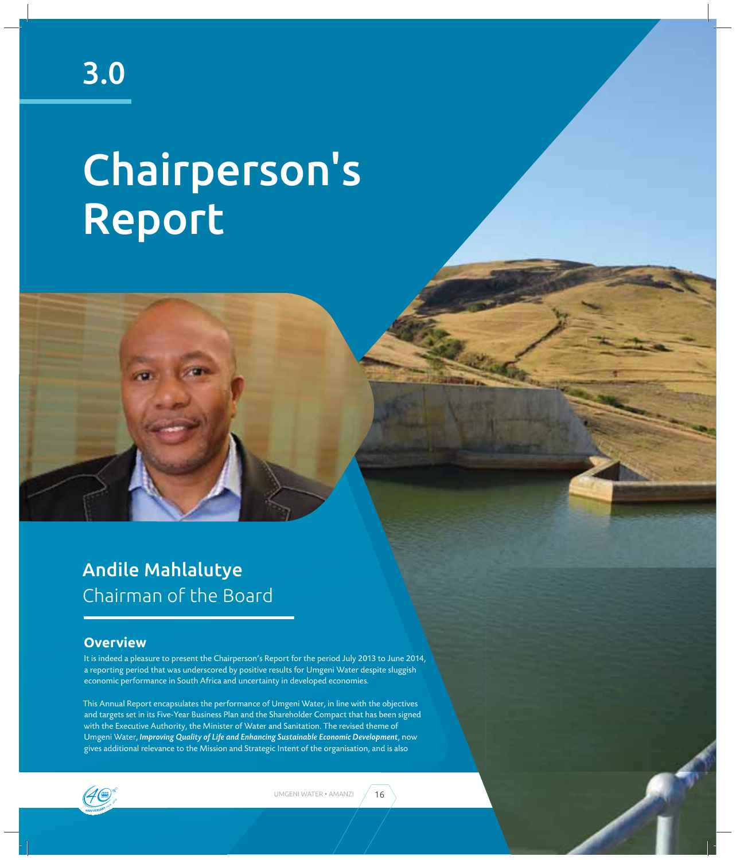# Chairperson's Report

## Andile Mahlalutye Chairman of the Board

## **Overview**

It is indeed a pleasure to present the Chairperson's Report for the period July 2013 to June 2014, a reporting period that was underscored by positive results for Umgeni Water despite sluggish economic performance in South Africa and uncertainty in developed economies.

This Annual Report encapsulates the performance of Umgeni Water, in line with the objectives and targets set in its Five-Year Business Plan and the Shareholder Compact that has been signed with the Executive Authority, the Minister of Water and Sanitation. The revised theme of Umgeni Water, *Improving Quality of Life and Enhancing Sustainable Economic Development*, now gives additional relevance to the Mission and Strategic Intent of the organisation, and is also

 $(4\textcircled{\tiny\textcircled{\#}}$ 

UMGENI WATER • AMANZI  $\Big/ 16$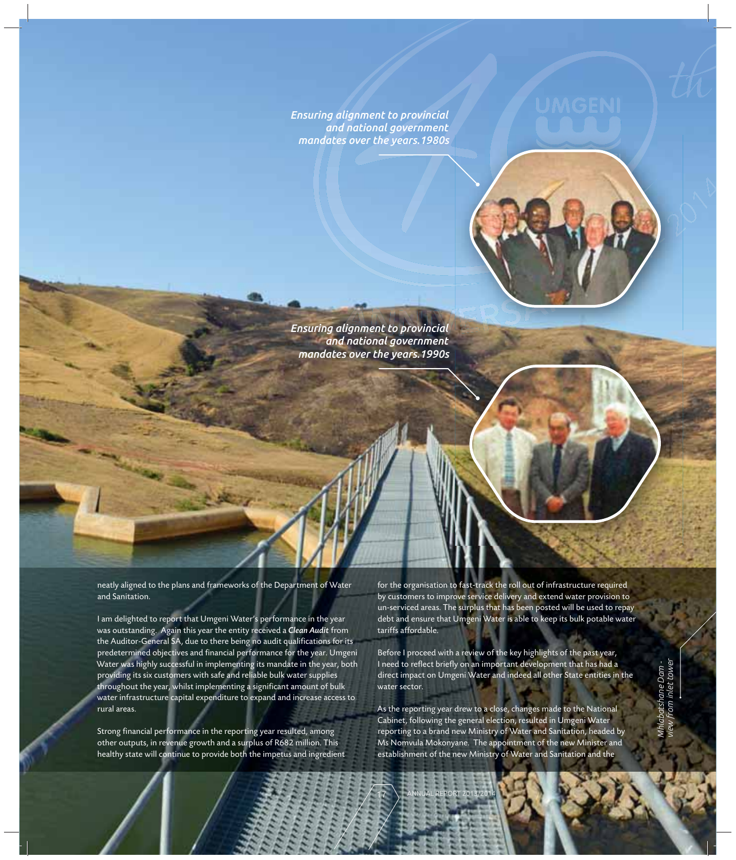*Ensuring alignment to provincial and national government mandates over the years.1980s*



*Ensuring alignment to provincial and national government mandates over the years.1990s*

neatly aligned to the plans and frameworks of the Department of Water and Sanitation.

I am delighted to report that Umgeni Water's performance in the year was outstanding. Again this year the entity received a *Clean Audit* from the Auditor-General SA, due to there being no audit qualifications for its predetermined objectives and financial performance for the year. Umgeni Water was highly successful in implementing its mandate in the year, both providing its six customers with safe and reliable bulk water supplies throughout the year, whilst implementing a significant amount of bulk water infrastructure capital expenditure to expand and increase access to rural areas.

Strong financial performance in the reporting year resulted, among other outputs, in revenue growth and a surplus of R682 million. This healthy state will continue to provide both the impetus and ingredient

for the organisation to fast-track the roll out of infrastructure required by customers to improve service delivery and extend water provision to un-serviced areas. The surplus that has been posted will be used to repay debt and ensure that Umgeni Water is able to keep its bulk potable water tariffs affordable.

Before I proceed with a review of the key highlights of the past year, I need to reflect briefly on an important development that has had a direct impact on Umgeni Water and indeed all other State entities in the water sector.

As the reporting year drew to a close, changes made to the National Cabinet, following the general election, resulted in Umgeni Water reporting to a brand new Ministry of Water and Sanitation, headed by Ms Nomvula Mokonyane. The appointment of the new Minister and establishment of the new Ministry of Water and Sanitation and the

17 ANNUAL REPORT 2013/2014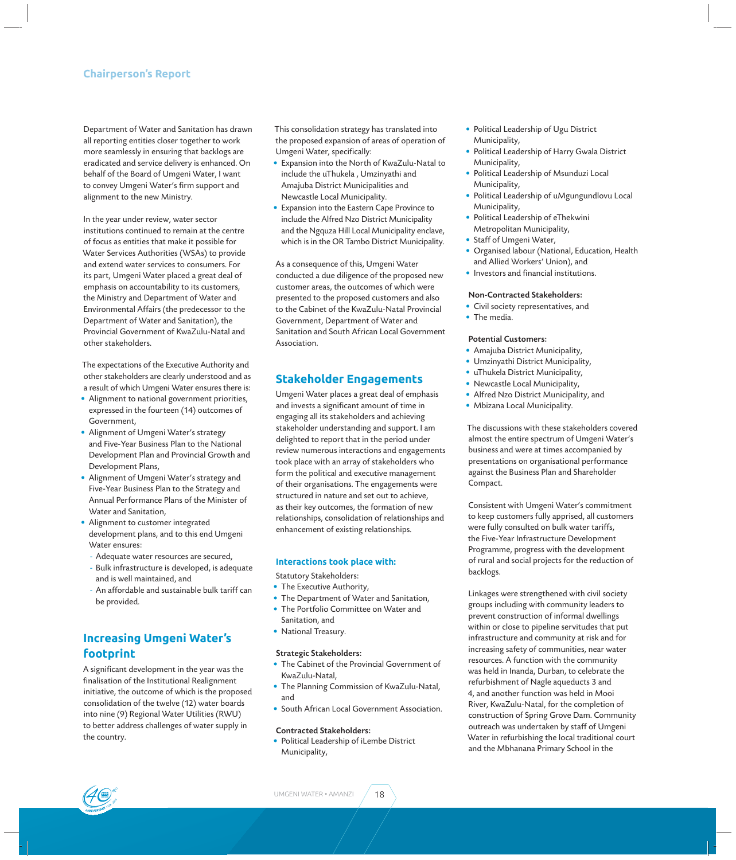## **Chairperson's Report**

Department of Water and Sanitation has drawn all reporting entities closer together to work more seamlessly in ensuring that backlogs are eradicated and service delivery is enhanced. On behalf of the Board of Umgeni Water, I want to convey Umgeni Water's firm support and alignment to the new Ministry.

In the year under review, water sector institutions continued to remain at the centre of focus as entities that make it possible for Water Services Authorities (WSAs) to provide and extend water services to consumers. For its part, Umgeni Water placed a great deal of emphasis on accountability to its customers, the Ministry and Department of Water and Environmental Affairs (the predecessor to the Department of Water and Sanitation), the Provincial Government of KwaZulu-Natal and other stakeholders.

The expectations of the Executive Authority and other stakeholders are clearly understood and as a result of which Umgeni Water ensures there is:

- Alignment to national government priorities, expressed in the fourteen (14) outcomes of Government,
- Alignment of Umgeni Water's strategy and Five-Year Business Plan to the National Development Plan and Provincial Growth and Development Plans,
- Alignment of Umgeni Water's strategy and Five-Year Business Plan to the Strategy and Annual Performance Plans of the Minister of Water and Sanitation,
- Alignment to customer integrated development plans, and to this end Umgeni Water ensures:
- Adequate water resources are secured,
- Bulk infrastructure is developed, is adequate and is well maintained, and
- An affordable and sustainable bulk tariff can be provided.

## **Increasing Umgeni Water's footprint**

A significant development in the year was the finalisation of the Institutional Realignment initiative, the outcome of which is the proposed consolidation of the twelve (12) water boards into nine (9) Regional Water Utilities (RWU) to better address challenges of water supply in the country.

This consolidation strategy has translated into the proposed expansion of areas of operation of Umgeni Water, specifically:

- Expansion into the North of KwaZulu-Natal to include the uThukela , Umzinyathi and Amajuba District Municipalities and Newcastle Local Municipality.
- Expansion into the Eastern Cape Province to include the Alfred Nzo District Municipality and the Ngquza Hill Local Municipality enclave, which is in the OR Tambo District Municipality.

As a consequence of this, Umgeni Water conducted a due diligence of the proposed new customer areas, the outcomes of which were presented to the proposed customers and also to the Cabinet of the KwaZulu-Natal Provincial Government, Department of Water and Sanitation and South African Local Government Association.

## **Stakeholder Engagements**

Umgeni Water places a great deal of emphasis and invests a significant amount of time in engaging all its stakeholders and achieving stakeholder understanding and support. I am delighted to report that in the period under review numerous interactions and engagements took place with an array of stakeholders who form the political and executive management of their organisations. The engagements were structured in nature and set out to achieve, as their key outcomes, the formation of new relationships, consolidation of relationships and enhancement of existing relationships.

#### **Interactions took place with:**

Statutory Stakeholders:

- The Executive Authority,
- The Department of Water and Sanitation,
- The Portfolio Committee on Water and Sanitation, and
- National Treasury.

#### Strategic Stakeholders:

- The Cabinet of the Provincial Government of KwaZulu-Natal,
- The Planning Commission of KwaZulu-Natal, and
- South African Local Government Association.

#### Contracted Stakeholders:

• Political Leadership of iLembe District Municipality,

- Political Leadership of Ugu District Municipality,
- Political Leadership of Harry Gwala District Municipality,
- Political Leadership of Msunduzi Local Municipality,
- Political Leadership of uMgungundlovu Local Municipality,
- Political Leadership of eThekwini Metropolitan Municipality,
- Staff of Umgeni Water,
- Organised labour (National, Education, Health and Allied Workers' Union), and
- Investors and financial institutions.

#### Non-Contracted Stakeholders:

- Civil society representatives, and
- The media.

#### Potential Customers:

- Amajuba District Municipality,
- Umzinyathi District Municipality,
- uThukela District Municipality,
- Newcastle Local Municipality,
- Alfred Nzo District Municipality, and
- Mbizana Local Municipality.

The discussions with these stakeholders covered almost the entire spectrum of Umgeni Water's business and were at times accompanied by presentations on organisational performance against the Business Plan and Shareholder Compact.

Consistent with Umgeni Water's commitment to keep customers fully apprised, all customers were fully consulted on bulk water tariffs, the Five-Year Infrastructure Development Programme, progress with the development of rural and social projects for the reduction of backlogs.

Linkages were strengthened with civil society groups including with community leaders to prevent construction of informal dwellings within or close to pipeline servitudes that put infrastructure and community at risk and for increasing safety of communities, near water resources. A function with the community was held in Inanda, Durban, to celebrate the refurbishment of Nagle aqueducts 3 and 4, and another function was held in Mooi River, KwaZulu-Natal, for the completion of construction of Spring Grove Dam. Community outreach was undertaken by staff of Umgeni Water in refurbishing the local traditional court and the Mbhanana Primary School in the

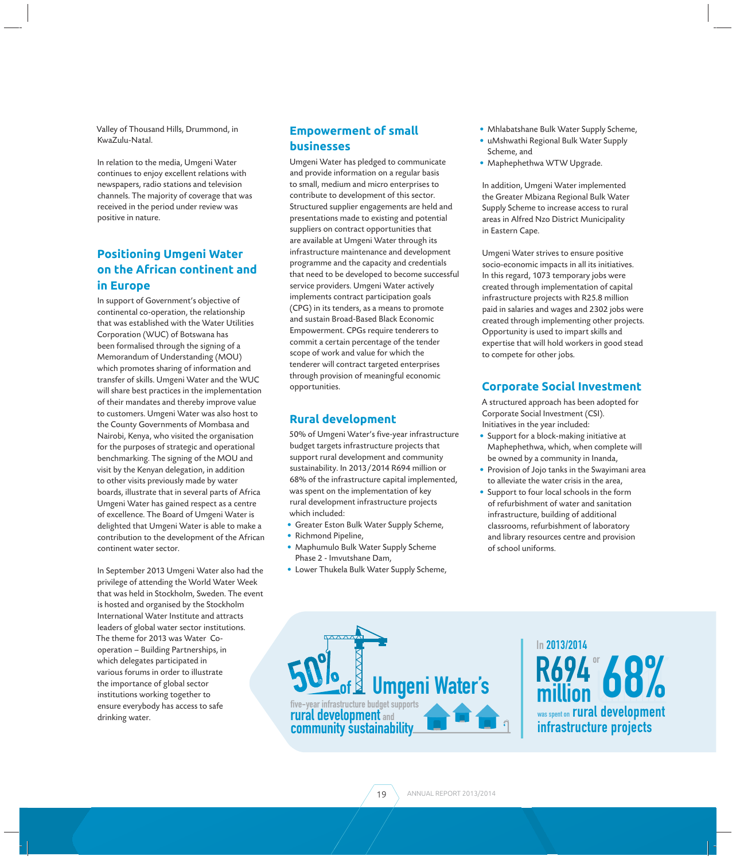Valley of Thousand Hills, Drummond, in KwaZulu-Natal.

In relation to the media, Umgeni Water continues to enjoy excellent relations with newspapers, radio stations and television channels. The majority of coverage that was received in the period under review was positive in nature.

## **Positioning Umgeni Water on the African continent and in Europe**

In support of Government's objective of continental co-operation, the relationship that was established with the Water Utilities Corporation (WUC) of Botswana has been formalised through the signing of a Memorandum of Understanding (MOU) which promotes sharing of information and transfer of skills. Umgeni Water and the WUC will share best practices in the implementation of their mandates and thereby improve value to customers. Umgeni Water was also host to the County Governments of Mombasa and Nairobi, Kenya, who visited the organisation for the purposes of strategic and operational benchmarking. The signing of the MOU and visit by the Kenyan delegation, in addition to other visits previously made by water boards, illustrate that in several parts of Africa Umgeni Water has gained respect as a centre of excellence. The Board of Umgeni Water is delighted that Umgeni Water is able to make a contribution to the development of the African continent water sector.

In September 2013 Umgeni Water also had the privilege of attending the World Water Week that was held in Stockholm, Sweden. The event is hosted and organised by the Stockholm International Water Institute and attracts leaders of global water sector institutions. The theme for 2013 was Water Cooperation – Building Partnerships, in which delegates participated in various forums in order to illustrate the importance of global sector institutions working together to ensure everybody has access to safe drinking water.

## **Empowerment of small businesses**

Umgeni Water has pledged to communicate and provide information on a regular basis to small, medium and micro enterprises to contribute to development of this sector. Structured supplier engagements are held and presentations made to existing and potential suppliers on contract opportunities that are available at Umgeni Water through its infrastructure maintenance and development programme and the capacity and credentials that need to be developed to become successful service providers. Umgeni Water actively implements contract participation goals (CPG) in its tenders, as a means to promote and sustain Broad-Based Black Economic Empowerment. CPGs require tenderers to commit a certain percentage of the tender scope of work and value for which the tenderer will contract targeted enterprises through provision of meaningful economic opportunities.

## **Rural development**

50% of Umgeni Water's five-year infrastructure budget targets infrastructure projects that support rural development and community sustainability. In 2013/2014 R694 million or 68% of the infrastructure capital implemented, was spent on the implementation of key rural development infrastructure projects which included:

- Greater Eston Bulk Water Supply Scheme,
- Richmond Pipeline,
- Maphumulo Bulk Water Supply Scheme Phase 2 - Imvutshane Dam,
- Lower Thukela Bulk Water Supply Scheme,
- Mhlabatshane Bulk Water Supply Scheme,
- uMshwathi Regional Bulk Water Supply Scheme, and
- Maphephethwa WTW Upgrade.

In addition, Umgeni Water implemented the Greater Mbizana Regional Bulk Water Supply Scheme to increase access to rural areas in Alfred Nzo District Municipality in Eastern Cape.

Umgeni Water strives to ensure positive socio-economic impacts in all its initiatives. In this regard, 1073 temporary jobs were created through implementation of capital infrastructure projects with R25.8 million paid in salaries and wages and 2302 jobs were created through implementing other projects. Opportunity is used to impart skills and expertise that will hold workers in good stead to compete for other jobs.

## **Corporate Social Investment**

A structured approach has been adopted for Corporate Social Investment (CSI). Initiatives in the year included:

- Support for a block-making initiative at Maphephethwa, which, when complete will be owned by a community in Inanda,
- Provision of Jojo tanks in the Swayimani area to alleviate the water crisis in the area,
- Support to four local schools in the form of refurbishment of water and sanitation infrastructure, building of additional classrooms, refurbishment of laboratory and library resources centre and provision of school uniforms.



was spent on **rural development** infrastructure projects In 2013/2014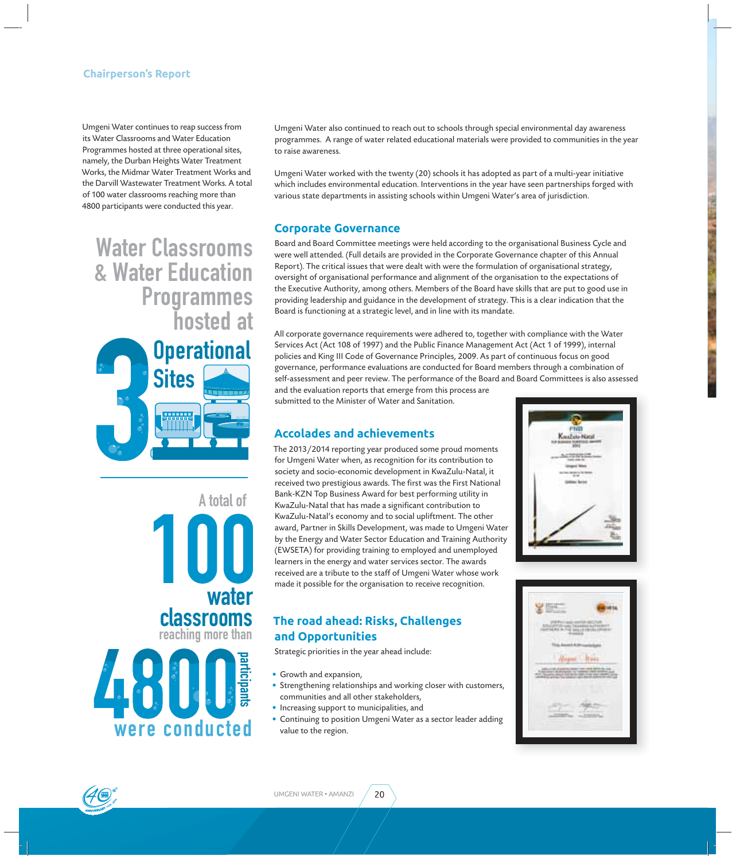## **Chairperson's Report**

Umgeni Water continues to reap success from its Water Classrooms and Water Education Programmes hosted at three operational sites, namely, the Durban Heights Water Treatment Works, the Midmar Water Treatment Works and the Darvill Wastewater Treatment Works. A total of 100 water classrooms reaching more than 4800 participants were conducted this year.

**Water Classrooms 8** Water Education **Programmes hosted** at



**A** total of **reaching more than** participant: **Were conducted water** classrooms Umgeni Water also continued to reach out to schools through special environmental day awareness programmes. A range of water related educational materials were provided to communities in the year to raise awareness.

Umgeni Water worked with the twenty (20) schools it has adopted as part of a multi-year initiative which includes environmental education. Interventions in the year have seen partnerships forged with various state departments in assisting schools within Umgeni Water's area of jurisdiction.

## **Corporate Governance**

Board and Board Committee meetings were held according to the organisational Business Cycle and were well attended. (Full details are provided in the Corporate Governance chapter of this Annual Report). The critical issues that were dealt with were the formulation of organisational strategy, oversight of organisational performance and alignment of the organisation to the expectations of the Executive Authority, among others. Members of the Board have skills that are put to good use in providing leadership and guidance in the development of strategy. This is a clear indication that the Board is functioning at a strategic level, and in line with its mandate.

All corporate governance requirements were adhered to, together with compliance with the Water Services Act (Act 108 of 1997) and the Public Finance Management Act (Act 1 of 1999), internal policies and King III Code of Governance Principles, 2009. As part of continuous focus on good governance, performance evaluations are conducted for Board members through a combination of self-assessment and peer review. The performance of the Board and Board Committees is also assessed and the evaluation reports that emerge from this process are

submitted to the Minister of Water and Sanitation.

## **Accolades and achievements**

The 2013/2014 reporting year produced some proud moments for Umgeni Water when, as recognition for its contribution to society and socio-economic development in KwaZulu-Natal, it received two prestigious awards. The first was the First National Bank-KZN Top Business Award for best performing utility in KwaZulu-Natal that has made a significant contribution to KwaZulu-Natal's economy and to social upliftment. The other award, Partner in Skills Development, was made to Umgeni Water by the Energy and Water Sector Education and Training Authority (EWSETA) for providing training to employed and unemployed learners in the energy and water services sector. The awards received are a tribute to the staff of Umgeni Water whose work made it possible for the organisation to receive recognition.

## **The road ahead: Risks, Challenges and Opportunities**

Strategic priorities in the year ahead include:

- Growth and expansion,
- Strengthening relationships and working closer with customers, communities and all other stakeholders,
- Increasing support to municipalities, and
- Continuing to position Umgeni Water as a sector leader adding value to the region.